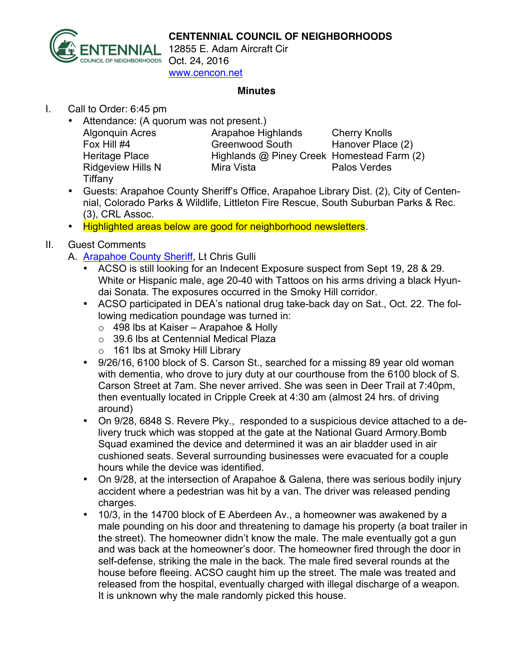

#### **CENTENNIAL COUNCIL OF NEIGHBORHOODS**

12855 E. Adam Aircraft Cir www.cencon.net

#### **Minutes**

### I. Call to Order: 6:45 pm

• Attendance: (A quorum was not present.)

| <b>Algonquin Acres</b>   | Arapahoe Highlands                         | <b>Cherry Knolls</b> |
|--------------------------|--------------------------------------------|----------------------|
| Fox Hill #4              | <b>Greenwood South</b>                     | Hanover Place (2)    |
| Heritage Place           | Highlands @ Piney Creek Homestead Farm (2) |                      |
| <b>Ridgeview Hills N</b> | Mira Vista                                 | Palos Verdes         |
| Tiffany                  |                                            |                      |

- Guests: Arapahoe County Sheriff's Office, Arapahoe Library Dist. (2), City of Centennial, Colorado Parks & Wildlife, Littleton Fire Rescue, South Suburban Parks & Rec. (3), CRL Assoc.
- Highlighted areas below are good for neighborhood newsletters.

## II. Guest Comments

- A. Arapahoe County Sheriff, Lt Chris Gulli
	- ACSO is still looking for an Indecent Exposure suspect from Sept 19, 28 & 29. White or Hispanic male, age 20-40 with Tattoos on his arms driving a black Hyundai Sonata. The exposures occurred in the Smoky Hill corridor.
	- ACSO participated in DEA's national drug take-back day on Sat., Oct. 22. The following medication poundage was turned in:
		- $\circ$  498 lbs at Kaiser Arapahoe & Holly
		- o 39.6 lbs at Centennial Medical Plaza
		- o 161 lbs at Smoky Hill Library
	- 9/26/16, 6100 block of S. Carson St., searched for a missing 89 year old woman with dementia, who drove to jury duty at our courthouse from the 6100 block of S. Carson Street at 7am. She never arrived. She was seen in Deer Trail at 7:40pm, then eventually located in Cripple Creek at 4:30 am (almost 24 hrs. of driving around)
	- On 9/28, 6848 S. Revere Pky., responded to a suspicious device attached to a delivery truck which was stopped at the gate at the National Guard Armory.Bomb Squad examined the device and determined it was an air bladder used in air cushioned seats. Several surrounding businesses were evacuated for a couple hours while the device was identified.
	- On 9/28, at the intersection of Arapahoe & Galena, there was serious bodily injury accident where a pedestrian was hit by a van. The driver was released pending charges.
	- 10/3, in the 14700 block of E Aberdeen Av., a homeowner was awakened by a male pounding on his door and threatening to damage his property (a boat trailer in the street). The homeowner didn't know the male. The male eventually got a gun and was back at the homeowner's door. The homeowner fired through the door in self-defense, striking the male in the back. The male fired several rounds at the house before fleeing. ACSO caught him up the street. The male was treated and released from the hospital, eventually charged with illegal discharge of a weapon. It is unknown why the male randomly picked this house.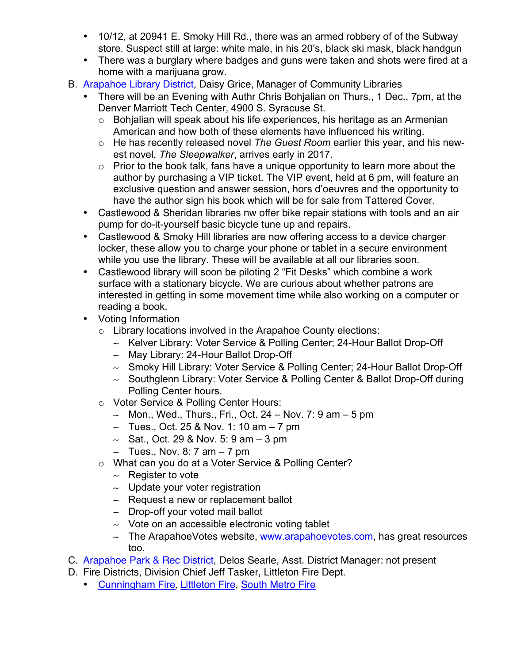- 10/12, at 20941 E. Smoky Hill Rd., there was an armed robbery of of the Subway store. Suspect still at large: white male, in his 20's, black ski mask, black handgun
- There was a burglary where badges and guns were taken and shots were fired at a home with a marijuana grow.
- B. Arapahoe Library District, Daisy Grice, Manager of Community Libraries
	- There will be an Evening with Authr Chris Bohjalian on Thurs., 1 Dec., 7pm, at the Denver Marriott Tech Center, 4900 S. Syracuse St.
		- o Bohjalian will speak about his life experiences, his heritage as an Armenian American and how both of these elements have influenced his writing.
		- o He has recently released novel *The Guest Room* earlier this year, and his newest novel, *The Sleepwalker*, arrives early in 2017.
		- $\circ$  Prior to the book talk, fans have a unique opportunity to learn more about the author by purchasing a VIP ticket. The VIP event, held at 6 pm, will feature an exclusive question and answer session, hors d'oeuvres and the opportunity to have the author sign his book which will be for sale from Tattered Cover.
	- Castlewood & Sheridan libraries nw offer bike repair stations with tools and an air pump for do-it-yourself basic bicycle tune up and repairs.
	- Castlewood & Smoky Hill libraries are now offering access to a device charger locker, these allow you to charge your phone or tablet in a secure environment while you use the library. These will be available at all our libraries soon.
	- Castlewood library will soon be piloting 2 "Fit Desks" which combine a work surface with a stationary bicycle. We are curious about whether patrons are interested in getting in some movement time while also working on a computer or reading a book.
	- Voting Information
		- $\circ$  Library locations involved in the Arapahoe County elections:
			- ∼ Kelver Library: Voter Service & Polling Center; 24-Hour Ballot Drop-Off
			- ∼ May Library: 24-Hour Ballot Drop-Off
			- ∼ Smoky Hill Library: Voter Service & Polling Center; 24-Hour Ballot Drop-Off
			- ∼ Southglenn Library: Voter Service & Polling Center & Ballot Drop-Off during Polling Center hours.
		- o Voter Service & Polling Center Hours:
			- ∼ Mon., Wed., Thurs., Fri., Oct. 24 Nov. 7: 9 am 5 pm
			- ∼ Tues., Oct. 25 & Nov. 1: 10 am 7 pm
			- ∼ Sat., Oct. 29 & Nov. 5: 9 am 3 pm
			- ∼ Tues., Nov. 8: 7 am 7 pm
		- o What can you do at a Voter Service & Polling Center?
			- ∼ Register to vote
			- ∼ Update your voter registration
			- ∼ Request a new or replacement ballot
			- ∼ Drop-off your voted mail ballot
			- ∼ Vote on an accessible electronic voting tablet
			- ∼ The ArapahoeVotes website, www.arapahoevotes.com, has great resources too.
- C. Arapahoe Park & Rec District, Delos Searle, Asst. District Manager: not present
- D. Fire Districts, Division Chief Jeff Tasker, Littleton Fire Dept.
	- Cunningham Fire, Littleton Fire, South Metro Fire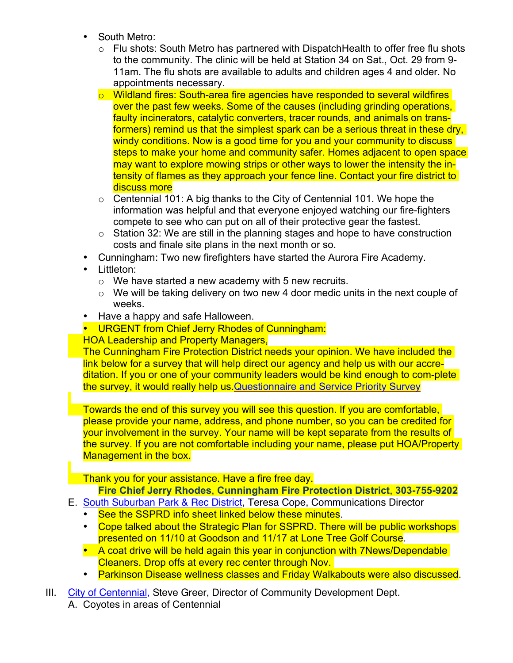- South Metro:
	- $\circ$  Flu shots: South Metro has partnered with DispatchHealth to offer free flu shots to the community. The clinic will be held at Station 34 on Sat., Oct. 29 from 9- 11am. The flu shots are available to adults and children ages 4 and older. No appointments necessary.
	- $\circ$  Wildland fires: South-area fire agencies have responded to several wildfires over the past few weeks. Some of the causes (including grinding operations, faulty incinerators, catalytic converters, tracer rounds, and animals on transformers) remind us that the simplest spark can be a serious threat in these dry, windy conditions. Now is a good time for you and your community to discuss steps to make your home and community safer. Homes adjacent to open space may want to explore mowing strips or other ways to lower the intensity the intensity of flames as they approach your fence line. Contact your fire district to discuss more
	- $\circ$  Centennial 101: A big thanks to the City of Centennial 101. We hope the information was helpful and that everyone enjoyed watching our fire-fighters compete to see who can put on all of their protective gear the fastest.
	- o Station 32: We are still in the planning stages and hope to have construction costs and finale site plans in the next month or so.
- Cunningham: Two new firefighters have started the Aurora Fire Academy.
- Littleton:
	- $\circ$  We have started a new academy with 5 new recruits.
	- $\circ$  We will be taking delivery on two new 4 door medic units in the next couple of weeks.
- Have a happy and safe Halloween.
- URGENT from Chief Jerry Rhodes of Cunningham:
- HOA Leadership and Property Managers,

The Cunningham Fire Protection District needs your opinion. We have included the link below for a survey that will help direct our agency and help us with our accreditation. If you or one of your community leaders would be kind enough to com-plete the survey, it would really help us.Questionnaire and Service Priority Survey

Towards the end of this survey you will see this question. If you are comfortable, please provide your name, address, and phone number, so you can be credited for your involvement in the survey. Your name will be kept separate from the results of the survey. If you are not comfortable including your name, please put HOA/Property Management in the box.

Thank you for your assistance. Have a fire free day.

# **Fire Chief Jerry Rhodes**, **Cunningham Fire Protection District**, **303-755-9202**

- E. South Suburban Park & Rec District, Teresa Cope, Communications Director
	- See the SSPRD info sheet linked below these minutes.
	- Cope talked about the Strategic Plan for SSPRD. There will be public workshops presented on 11/10 at Goodson and 11/17 at Lone Tree Golf Course.
	- A coat drive will be held again this year in conjunction with 7News/Dependable Cleaners. Drop offs at every rec center through Nov.
	- Parkinson Disease wellness classes and Friday Walkabouts were also discussed.
- III. City of Centennial, Steve Greer, Director of Community Development Dept.
	- A. Coyotes in areas of Centennial